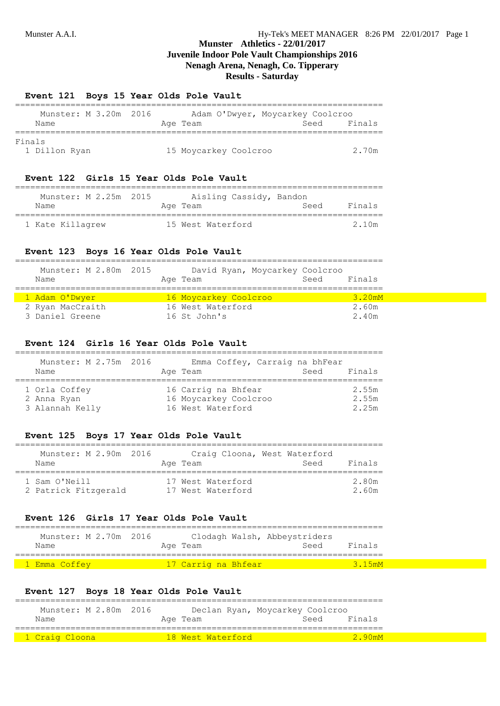======================

# **Munster Athletics - 22/01/2017 Juvenile Indoor Pole Vault Championships 2016 Nenagh Arena, Nenagh, Co. Tipperary Results - Saturday**

#### **Event 121 Boys 15 Year Olds Pole Vault**

| Munster: M 3.20m 2016 |  |  |  |          |                       | Adam O'Dwyer, Moycarkey Coolcroo |      |        |
|-----------------------|--|--|--|----------|-----------------------|----------------------------------|------|--------|
| Name                  |  |  |  | Age Team |                       |                                  | Seed | Finals |
| Finals                |  |  |  |          |                       |                                  |      |        |
| 1 Dillon Ryan         |  |  |  |          | 15 Moycarkey Coolcroo |                                  |      | 2.70m  |

#### **Event 122 Girls 15 Year Olds Pole Vault**

| Munster: M 2.25m 2015 | Aisling Cassidy, Bandon |      |         |
|-----------------------|-------------------------|------|---------|
| Name                  | Age Team                | Seed | Finals  |
| 1 Kate Killagrew      | 15 West Waterford       |      | 2 1 0 m |

#### **Event 123 Boys 16 Year Olds Pole Vault**

| Munster: M 2.80m 2015 | David Ryan, Moycarkey Coolcroo | Finals |
|-----------------------|--------------------------------|--------|
| Name                  | Age Team                       | Seed   |
| 1 Adam O'Dwyer        | 16 Moycarkey Coolcroo          | 3.20mM |
| 2 Ryan MacCraith      | 16 West Waterford              | 2.60m  |
| 3 Daniel Greene       | 16 St John's                   | 2.40m  |

#### **Event 124 Girls 16 Year Olds Pole Vault**

| Munster: M 2.75m 2016<br>Name                   |  | Emma Coffey, Carraig na bhFear<br>Age Team                        | Seed | Finals                  |
|-------------------------------------------------|--|-------------------------------------------------------------------|------|-------------------------|
| 1 Orla Coffey<br>2 Anna Ryan<br>3 Alannah Kelly |  | 16 Carrig na Bhfear<br>16 Moycarkey Coolcroo<br>16 West Waterford |      | 2.55m<br>2.55m<br>2.25m |

#### **Event 125 Boys 17 Year Olds Pole Vault**

| Munster: M 2.90m 2016<br>Name         | Craig Cloona, West Waterford<br>Age Team | Seed | Finals         |
|---------------------------------------|------------------------------------------|------|----------------|
| 1 Sam O'Neill<br>2 Patrick Fitzgerald | 17 West Waterford<br>17 West Waterford   |      | 2.80m<br>2.60m |

### **Event 126 Girls 17 Year Olds Pole Vault**

|                | Munster: M 2.70m 2016 |                     | Clodagh Walsh, Abbeystriders |        |
|----------------|-----------------------|---------------------|------------------------------|--------|
| Name           |                       | Age Team            | Seed                         | Finals |
|                |                       |                     |                              |        |
| '1 Emma Coffey |                       | 17 Carrig na Bhfear |                              | 3.15mM |

## **Event 127 Boys 18 Year Olds Pole Vault**

| Munster: M 2.80m 2016 |                   | Declan Ryan, Moycarkey Coolcroo |
|-----------------------|-------------------|---------------------------------|
| Name                  | Age Team          | Finals<br>Seed                  |
|                       |                   |                                 |
| 1 Craig Cloona        | 18 West Waterford | 290mM                           |